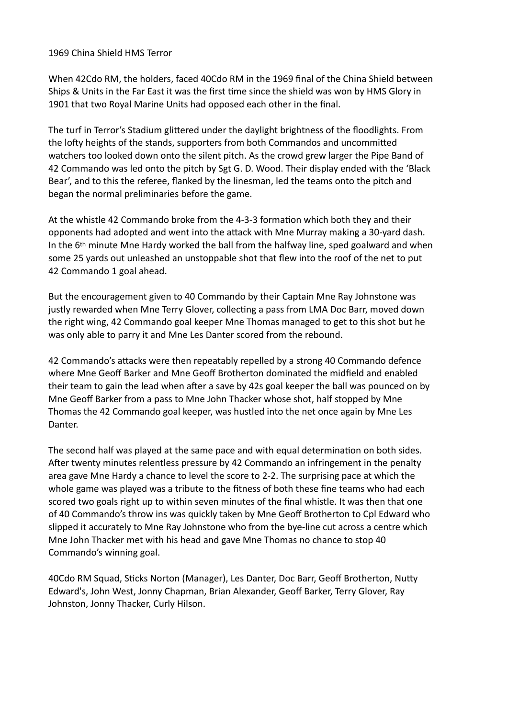## 1969 China Shield HMS Terror

When 42Cdo RM, the holders, faced 40Cdo RM in the 1969 final of the China Shield between Ships & Units in the Far East it was the first time since the shield was won by HMS Glory in 1901 that two Royal Marine Units had opposed each other in the final.

The turf in Terror's Stadium glittered under the daylight brightness of the floodlights. From the lofty heights of the stands, supporters from both Commandos and uncommitted watchers too looked down onto the silent pitch. As the crowd grew larger the Pipe Band of 42 Commando was led onto the pitch by Sgt G. D. Wood. Their display ended with the 'Black Bear', and to this the referee, flanked by the linesman, led the teams onto the pitch and began the normal preliminaries before the game.

At the whistle 42 Commando broke from the 4-3-3 formation which both they and their opponents had adopted and went into the attack with Mne Murray making a 30-yard dash. In the 6th minute Mne Hardy worked the ball from the halfway line, sped goalward and when some 25 yards out unleashed an unstoppable shot that flew into the roof of the net to put 42 Commando 1 goal ahead.

But the encouragement given to 40 Commando by their Captain Mne Ray Johnstone was justly rewarded when Mne Terry Glover, collecting a pass from LMA Doc Barr, moved down the right wing, 42 Commando goal keeper Mne Thomas managed to get to this shot but he was only able to parry it and Mne Les Danter scored from the rebound.

42 Commando's attacks were then repeatably repelled by a strong 40 Commando defence where Mne Geoff Barker and Mne Geoff Brotherton dominated the midfield and enabled their team to gain the lead when after a save by 42s goal keeper the ball was pounced on by Mne Geoff Barker from a pass to Mne John Thacker whose shot, half stopped by Mne Thomas the 42 Commando goal keeper, was hustled into the net once again by Mne Les Danter.

The second half was played at the same pace and with equal determination on both sides. After twenty minutes relentless pressure by 42 Commando an infringement in the penalty area gave Mne Hardy a chance to level the score to 2-2. The surprising pace at which the whole game was played was a tribute to the fitness of both these fine teams who had each scored two goals right up to within seven minutes of the final whistle. It was then that one of 40 Commando's throw ins was quickly taken by Mne Geoff Brotherton to Cpl Edward who slipped it accurately to Mne Ray Johnstone who from the bye-line cut across a centre which Mne John Thacker met with his head and gave Mne Thomas no chance to stop 40 Commando's winning goal.

40Cdo RM Squad, Sticks Norton (Manager), Les Danter, Doc Barr, Geoff Brotherton, Nutty Edward's, John West, Jonny Chapman, Brian Alexander, Geoff Barker, Terry Glover, Ray Johnston, Jonny Thacker, Curly Hilson.